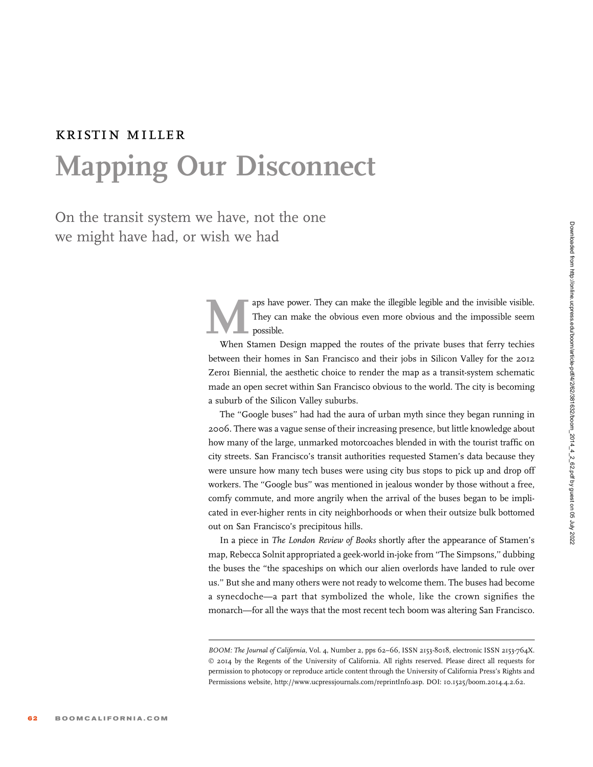## kristin miller Mapping Our Disconnect

On the transit system we have, not the one we might have had, or wish we had

> They can make the illegible legible and the invisible visible.<br>They can make the obvious even more obvious and the impossible seem<br>possible.<br>When Stamen Design mapped the routes of the private buses that ferry techies They can make the obvious even more obvious and the impossible seem possible.

> When Stamen Design mapped the routes of the private buses that ferry techies between their homes in San Francisco and their jobs in Silicon Valley for the 2012 Zero1 Biennial, the aesthetic choice to render the map as a transit-system schematic made an open secret within San Francisco obvious to the world. The city is becoming a suburb of the Silicon Valley suburbs.

> The "Google buses" had had the aura of urban myth since they began running in 2006. There was a vague sense of their increasing presence, but little knowledge about how many of the large, unmarked motorcoaches blended in with the tourist traffic on city streets. San Francisco's transit authorities requested Stamen's data because they were unsure how many tech buses were using city bus stops to pick up and drop off workers. The ''Google bus'' was mentioned in jealous wonder by those without a free, comfy commute, and more angrily when the arrival of the buses began to be implicated in ever-higher rents in city neighborhoods or when their outsize bulk bottomed out on San Francisco's precipitous hills.

> In a piece in The London Review of Books shortly after the appearance of Stamen's map, Rebecca Solnit appropriated a geek-world in-joke from ''The Simpsons,'' dubbing the buses the ''the spaceships on which our alien overlords have landed to rule over us.'' But she and many others were not ready to welcome them. The buses had become a synecdoche—a part that symbolized the whole, like the crown signifies the monarch—for all the ways that the most recent tech boom was altering San Francisco.

BOOM: The Journal of California, Vol. 4, Number 2, pps 62–66, ISSN 2153-8018, electronic ISSN 2153-764X. © 2014 by the Regents of the University of California. All rights reserved. Please direct all requests for permission to photocopy or reproduce article content through the University of California Press's Rights and Permissions website, http://www.ucpressjournals.com/reprintInfo.asp. DOI: 10.1525/boom.2014.4.2.62.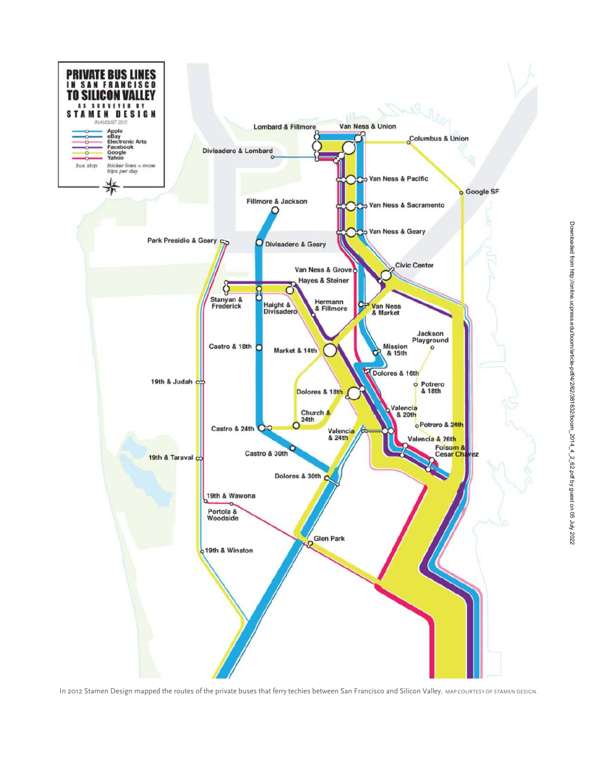

In 2012 Stamen Design mapped the routes of the private buses that ferry techies between San Francisco and Silicon Valley. MAP COURTESY OF STAMEN DESIGN.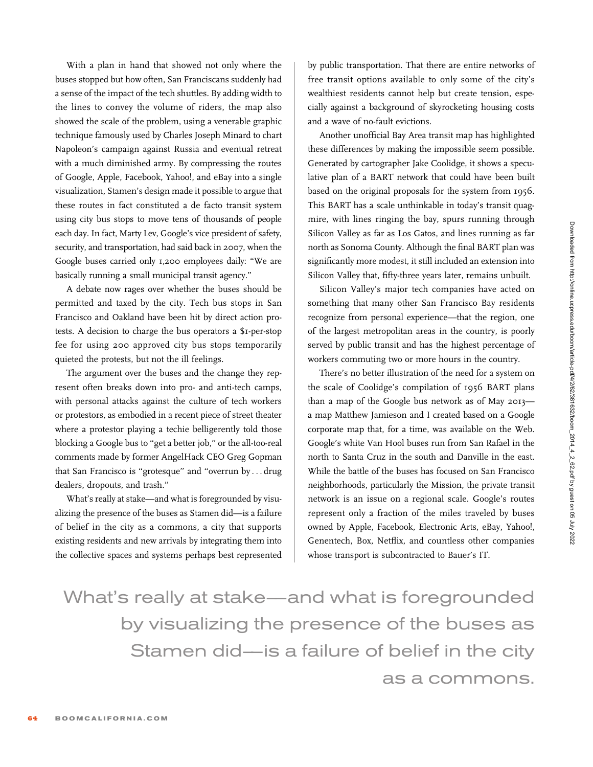With a plan in hand that showed not only where the buses stopped but how often, San Franciscans suddenly had a sense of the impact of the tech shuttles. By adding width to the lines to convey the volume of riders, the map also showed the scale of the problem, using a venerable graphic technique famously used by Charles Joseph Minard to chart Napoleon's campaign against Russia and eventual retreat with a much diminished army. By compressing the routes of Google, Apple, Facebook, Yahoo!, and eBay into a single visualization, Stamen's design made it possible to argue that these routes in fact constituted a de facto transit system using city bus stops to move tens of thousands of people each day. In fact, Marty Lev, Google's vice president of safety, security, and transportation, had said back in 2007, when the Google buses carried only 1,200 employees daily: ''We are basically running a small municipal transit agency.''

A debate now rages over whether the buses should be permitted and taxed by the city. Tech bus stops in San Francisco and Oakland have been hit by direct action protests. A decision to charge the bus operators a \$1-per-stop fee for using 200 approved city bus stops temporarily quieted the protests, but not the ill feelings.

The argument over the buses and the change they represent often breaks down into pro- and anti-tech camps, with personal attacks against the culture of tech workers or protestors, as embodied in a recent piece of street theater where a protestor playing a techie belligerently told those blocking a Google bus to ''get a better job,'' or the all-too-real comments made by former AngelHack CEO Greg Gopman that San Francisco is ''grotesque'' and ''overrun by ... drug dealers, dropouts, and trash.''

What's really at stake—and what is foregrounded by visualizing the presence of the buses as Stamen did—is a failure of belief in the city as a commons, a city that supports existing residents and new arrivals by integrating them into the collective spaces and systems perhaps best represented by public transportation. That there are entire networks of free transit options available to only some of the city's wealthiest residents cannot help but create tension, especially against a background of skyrocketing housing costs and a wave of no-fault evictions.

Another unofficial Bay Area transit map has highlighted these differences by making the impossible seem possible. Generated by cartographer Jake Coolidge, it shows a speculative plan of a BART network that could have been built based on the original proposals for the system from 1956. This BART has a scale unthinkable in today's transit quagmire, with lines ringing the bay, spurs running through Silicon Valley as far as Los Gatos, and lines running as far north as Sonoma County. Although the final BART plan was significantly more modest, it still included an extension into Silicon Valley that, fifty-three years later, remains unbuilt.

Silicon Valley's major tech companies have acted on something that many other San Francisco Bay residents recognize from personal experience—that the region, one of the largest metropolitan areas in the country, is poorly served by public transit and has the highest percentage of workers commuting two or more hours in the country.

There's no better illustration of the need for a system on the scale of Coolidge's compilation of 1956 BART plans than a map of the Google bus network as of May 2013 a map Matthew Jamieson and I created based on a Google corporate map that, for a time, was available on the Web. Google's white Van Hool buses run from San Rafael in the north to Santa Cruz in the south and Danville in the east. While the battle of the buses has focused on San Francisco neighborhoods, particularly the Mission, the private transit network is an issue on a regional scale. Google's routes represent only a fraction of the miles traveled by buses owned by Apple, Facebook, Electronic Arts, eBay, Yahoo!, Genentech, Box, Netflix, and countless other companies whose transport is subcontracted to Bauer's IT.

What's really at stake–—and what is foregrounded by visualizing the presence of the buses as Stamen did—is a failure of belief in the city as a commons.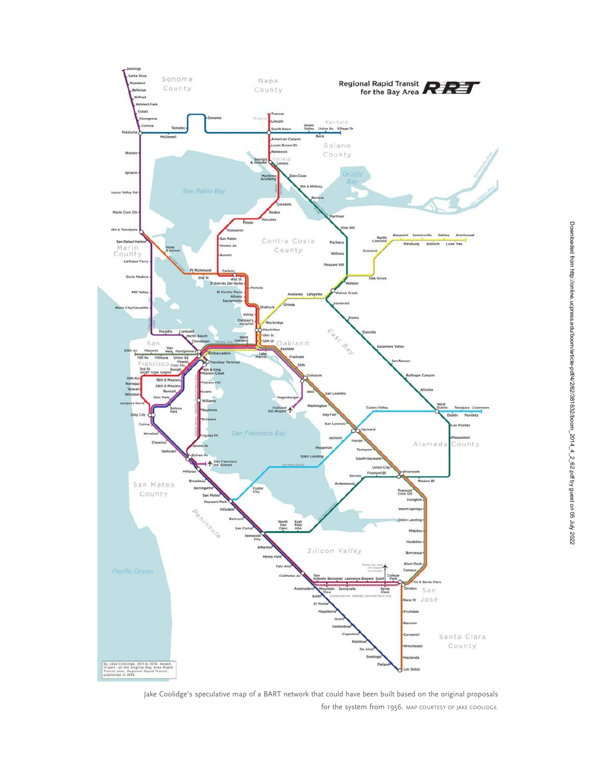

Jake Coolidge's speculative map of a BART network that could have been built based on the original proposals for the system from 1956. MAP COURTESY OF JAKE COOLIDGE.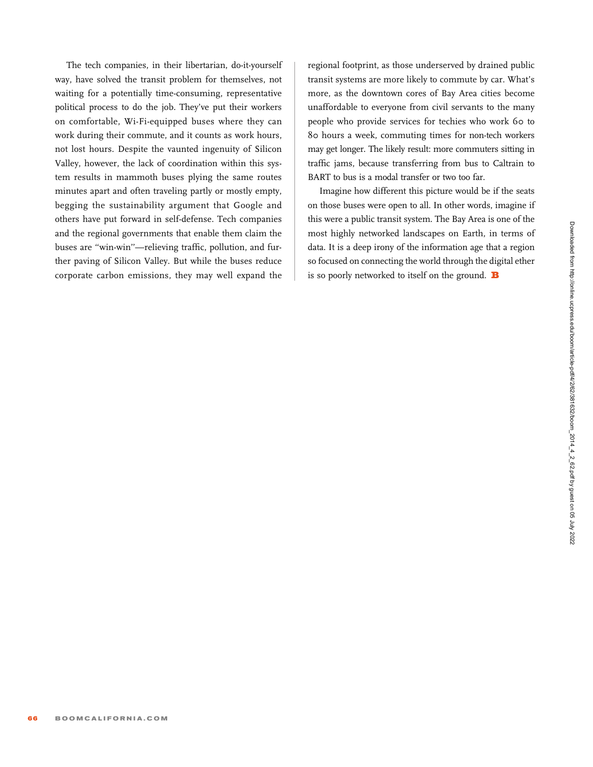Downloaded from http://online.ucpress.edu/boom/article-pdf/4/2/62/381632/boom\_2014\_4\_2\_62.pdf by guest on 05 July 2022

Downloaded from http://online.ucpress.edu/boom/article-pdf/4/2/62/381632/boom\_2014\_4\_2\_62.pdf by guest on 05 July 2022

The tech companies, in their libertarian, do-it-yourself way, have solved the transit problem for themselves, not waiting for a potentially time-consuming, representative political process to do the job. They've put their workers on comfortable, Wi-Fi-equipped buses where they can work during their commute, and it counts as work hours, not lost hours. Despite the vaunted ingenuity of Silicon Valley, however, the lack of coordination within this system results in mammoth buses plying the same routes minutes apart and often traveling partly or mostly empty, begging the sustainability argument that Google and others have put forward in self-defense. Tech companies and the regional governments that enable them claim the buses are ''win-win''—relieving traffic, pollution, and further paving of Silicon Valley. But while the buses reduce corporate carbon emissions, they may well expand the

regional footprint, as those underserved by drained public transit systems are more likely to commute by car. What's more, as the downtown cores of Bay Area cities become unaffordable to everyone from civil servants to the many people who provide services for techies who work 60 to 80 hours a week, commuting times for non-tech workers may get longer. The likely result: more commuters sitting in traffic jams, because transferring from bus to Caltrain to BART to bus is a modal transfer or two too far.

Imagine how different this picture would be if the seats on those buses were open to all. In other words, imagine if this were a public transit system. The Bay Area is one of the most highly networked landscapes on Earth, in terms of data. It is a deep irony of the information age that a region so focused on connecting the world through the digital ether is so poorly networked to itself on the ground.  $\mathbf B$